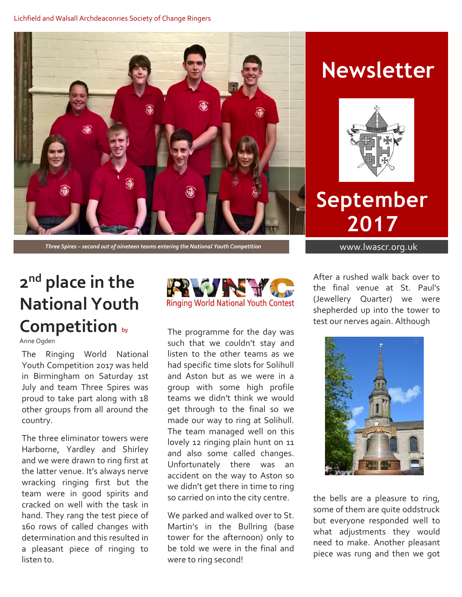

# **Newsletter**



**September 2017**

# **2 nd place in the National Youth Competition** by

Anne Ogden

The Ringing World National Youth Competition 2017 was held in Birmingham on Saturday 1st July and team Three Spires was proud to take part along with 18 other groups from all around the country.

The three eliminator towers were Harborne, Yardley and Shirley and we were drawn to ring first at the latter venue. It's always nerve wracking ringing first but the team were in good spirits and cracked on well with the task in hand. They rang the test piece of 160 rows of called changes with determination and this resulted in a pleasant piece of ringing to listen to.



The programme for the day was such that we couldn't stay and listen to the other teams as we had specific time slots for Solihull and Aston but as we were in a group with some high profile teams we didn't think we would get through to the final so we made our way to ring at Solihull. The team managed well on this lovely 12 ringing plain hunt on 11 and also some called changes. Unfortunately there was an accident on the way to Aston so we didn't get there in time to ring so carried on into the city centre.

We parked and walked over to St. Martin's in the Bullring (base tower for the afternoon) only to be told we were in the final and were to ring second!

After a rushed walk back over to the final venue at St. Paul's (Jewellery Quarter) we were shepherded up into the tower to test our nerves again. Although



the bells are a pleasure to ring, some of them are quite oddstruck but everyone responded well to what adjustments they would need to make. Another pleasant piece was rung and then we got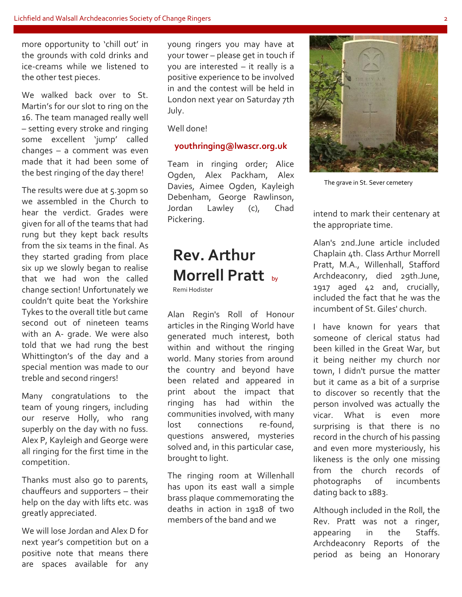more opportunity to 'chill out' in the grounds with cold drinks and ice-creams while we listened to the other test pieces.

We walked back over to St. Martin's for our slot to ring on the 16. The team managed really well – setting every stroke and ringing some excellent 'jump' called changes – a comment was even made that it had been some of the best ringing of the day there!

The results were due at 5.30pm so we assembled in the Church to hear the verdict. Grades were given for all of the teams that had rung but they kept back results from the six teams in the final. As they started grading from place six up we slowly began to realise that we had won the called change section! Unfortunately we couldn't quite beat the Yorkshire Tykes to the overall title but came second out of nineteen teams with an A- grade. We were also told that we had rung the best Whittington's of the day and a special mention was made to our treble and second ringers!

Many congratulations to the team of young ringers, including our reserve Holly, who rang superbly on the day with no fuss. Alex P, Kayleigh and George were all ringing for the first time in the competition.

Thanks must also go to parents, chauffeurs and supporters – their help on the day with lifts etc. was greatly appreciated.

We will lose Jordan and Alex D for next year's competition but on a positive note that means there are spaces available for any young ringers you may have at your tower – please get in touch if you are interested – it really is a positive experience to be involved in and the contest will be held in London next year on Saturday 7th July.

Well done!

#### **youthringing@lwascr.org.uk**

Team in ringing order; Alice Ogden, Alex Packham, Alex Davies, Aimee Ogden, Kayleigh Debenham, George Rawlinson, Jordan Lawley (c), Chad Pickering.

# **Rev. Arthur Morrell Pratt** by

Remi Hodister

Alan Regin's Roll of Honour articles in the Ringing World have generated much interest, both within and without the ringing world. Many stories from around the country and beyond have been related and appeared in print about the impact that ringing has had within the communities involved, with many lost connections re-found, questions answered, mysteries solved and, in this particular case, brought to light.

The ringing room at Willenhall has upon its east wall a simple brass plaque commemorating the deaths in action in 1918 of two members of the band and we



Alan's 2nd.June article included Chaplain 4th. Class Arthur Morrell Pratt, M.A., Willenhall, Stafford Archdeaconry, died 29th.June, 1917 aged 42 and, crucially, included the fact that he was the incumbent of St. Giles' church.

I have known for years that someone of clerical status had been killed in the Great War, but it being neither my church nor town, I didn't pursue the matter but it came as a bit of a surprise to discover so recently that the person involved was actually the vicar. What is even more surprising is that there is no record in the church of his passing and even more mysteriously, his likeness is the only one missing from the church records of photographs of incumbents dating back to 1883.

Although included in the Roll, the Rev. Pratt was not a ringer, appearing in the Staffs. Archdeaconry Reports of the period as being an Honorary



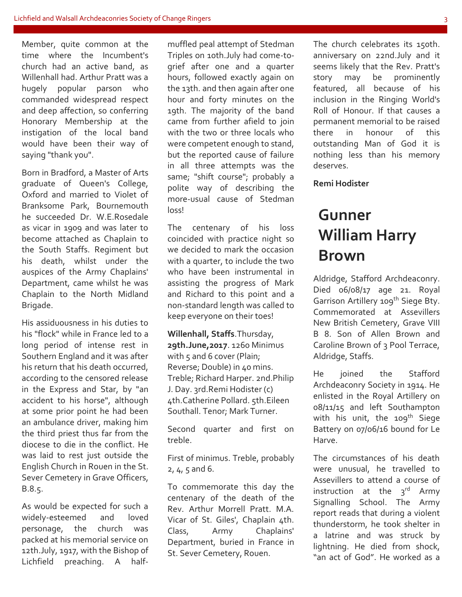Member, quite common at the time where the Incumbent's church had an active band, as Willenhall had. Arthur Pratt was a hugely popular parson who commanded widespread respect and deep affection, so conferring Honorary Membership at the instigation of the local band would have been their way of saying "thank you".

Born in Bradford, a Master of Arts graduate of Queen's College, Oxford and married to Violet of Branksome Park, Bournemouth he succeeded Dr. W.E.Rosedale as vicar in 1909 and was later to become attached as Chaplain to the South Staffs. Regiment but his death, whilst under the auspices of the Army Chaplains' Department, came whilst he was Chaplain to the North Midland Brigade.

His assiduousness in his duties to his "flock" while in France led to a long period of intense rest in Southern England and it was after his return that his death occurred, according to the censored release in the Express and Star, by "an accident to his horse", although at some prior point he had been an ambulance driver, making him the third priest thus far from the diocese to die in the conflict. He was laid to rest just outside the English Church in Rouen in the St. Sever Cemetery in Grave Officers, B.8.5.

As would be expected for such a widely-esteemed and loved personage, the church was packed at his memorial service on 12th.July, 1917, with the Bishop of Lichfield preaching. A halfmuffled peal attempt of Stedman Triples on 10th.July had come-togrief after one and a quarter hours, followed exactly again on the 13th. and then again after one hour and forty minutes on the 19th. The majority of the band came from further afield to join with the two or three locals who were competent enough to stand, but the reported cause of failure in all three attempts was the same; "shift course"; probably a polite way of describing the more-usual cause of Stedman loss!

The centenary of his loss coincided with practice night so we decided to mark the occasion with a quarter, to include the two who have been instrumental in assisting the progress of Mark and Richard to this point and a non-standard length was called to keep everyone on their toes!

**Willenhall, Staffs**.Thursday, **29th.June,2017**. 1260 Minimus with 5 and 6 cover (Plain; Reverse; Double) in 40 mins. Treble; Richard Harper. 2nd.Philip J. Day. 3rd.Remi Hodister (c) 4th.Catherine Pollard. 5th.Eileen Southall. Tenor; Mark Turner.

Second quarter and first on treble.

First of minimus. Treble, probably 2, 4, 5 and 6.

To commemorate this day the centenary of the death of the Rev. Arthur Morrell Pratt. M.A. Vicar of St. Giles', Chaplain 4th. Class, Army Chaplains' Department, buried in France in St. Sever Cemetery, Rouen.

The church celebrates its 150th. anniversary on 22nd.July and it seems likely that the Rev. Pratt's story may be prominently featured, all because of his inclusion in the Ringing World's Roll of Honour. If that causes a permanent memorial to be raised there in honour of this outstanding Man of God it is nothing less than his memory deserves.

**Remi Hodister**

## **Gunner William Harry Brown**

Aldridge, Stafford Archdeaconry. Died 06/08/17 age 21. Royal Garrison Artillery 109<sup>th</sup> Siege Bty. Commemorated at Assevillers New British Cemetery, Grave VIII B 8. Son of Allen Brown and Caroline Brown of 3 Pool Terrace, Aldridge, Staffs.

He joined the Stafford Archdeaconry Society in 1914. He enlisted in the Royal Artillery on 08/11/15 and left Southampton with his unit, the 109<sup>th</sup> Siege Battery on 07/06/16 bound for Le Harve.

The circumstances of his death were unusual, he travelled to Assevillers to attend a course of instruction at the 3rd Army Signalling School. The Army report reads that during a violent thunderstorm, he took shelter in a latrine and was struck by lightning. He died from shock, "an act of God". He worked as a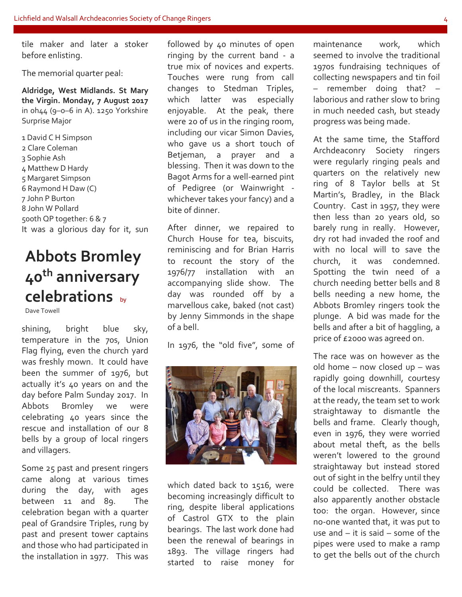tile maker and later a stoker before enlisting.

The memorial quarter peal:

**Aldridge, West Midlands. St Mary the Virgin. Monday, 7 August 2017** in 0h44 (9–0–6 in A). 1250 Yorkshire Surprise Major

 David C H Simpson Clare Coleman Sophie Ash Matthew D Hardy Margaret Simpson Raymond H Daw (C) John P Burton John W Pollard 500th QP together: 6 & 7 It was a glorious day for it, sun

# **Abbots Bromley 40th anniversary celebrations** by

Dave Towell

shining, bright blue sky, temperature in the 70s, Union Flag flying, even the church yard was freshly mown. It could have been the summer of 1976, but actually it's 40 years on and the day before Palm Sunday 2017. In Abbots Bromley we were celebrating 40 years since the rescue and installation of our 8 bells by a group of local ringers and villagers.

Some 25 past and present ringers came along at various times during the day, with ages between 11 and 89. The celebration began with a quarter peal of Grandsire Triples, rung by past and present tower captains and those who had participated in the installation in 1977. This was followed by 40 minutes of open ringing by the current band - a true mix of novices and experts. Touches were rung from call changes to Stedman Triples, which latter was especially enjoyable. At the peak, there were 20 of us in the ringing room, including our vicar Simon Davies, who gave us a short touch of Betjeman, a prayer and a blessing. Then it was down to the Bagot Arms for a well-earned pint of Pedigree (or Wainwright whichever takes your fancy) and a bite of dinner.

After dinner, we repaired to Church House for tea, biscuits, reminiscing and for Brian Harris to recount the story of the 1976/77 installation with an accompanying slide show. The day was rounded off by a marvellous cake, baked (not cast) by Jenny Simmonds in the shape of a bell.

In 1976, the "old five", some of



which dated back to 1516, were becoming increasingly difficult to ring, despite liberal applications of Castrol GTX to the plain bearings. The last work done had been the renewal of bearings in 1893. The village ringers had started to raise money for

maintenance work, which seemed to involve the traditional 1970s fundraising techniques of collecting newspapers and tin foil – remember doing that? – laborious and rather slow to bring in much needed cash, but steady progress was being made.

At the same time, the Stafford Archdeaconry Society ringers were regularly ringing peals and quarters on the relatively new ring of 8 Taylor bells at St Martin's, Bradley, in the Black Country. Cast in 1957, they were then less than 20 years old, so barely rung in really. However, dry rot had invaded the roof and with no local will to save the church, it was condemned. Spotting the twin need of a church needing better bells and 8 bells needing a new home, the Abbots Bromley ringers took the plunge. A bid was made for the bells and after a bit of haggling, a price of £2000 was agreed on.

The race was on however as the old home – now closed up – was rapidly going downhill, courtesy of the local miscreants. Spanners at the ready, the team set to work straightaway to dismantle the bells and frame. Clearly though, even in 1976, they were worried about metal theft, as the bells weren't lowered to the ground straightaway but instead stored out of sight in the belfry until they could be collected. There was also apparently another obstacle too: the organ. However, since no-one wanted that, it was put to use and – it is said – some of the pipes were used to make a ramp to get the bells out of the church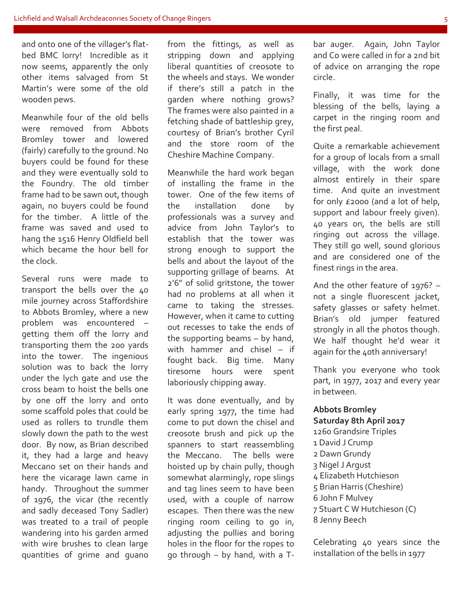and onto one of the villager's flatbed BMC lorry! Incredible as it now seems, apparently the only other items salvaged from St Martin's were some of the old wooden pews.

Meanwhile four of the old bells were removed from Abbots Bromley tower and lowered (fairly) carefully to the ground. No buyers could be found for these and they were eventually sold to the Foundry. The old timber frame had to be sawn out, though again, no buyers could be found for the timber. A little of the frame was saved and used to hang the 1516 Henry Oldfield bell which became the hour bell for the clock.

Several runs were made to transport the bells over the 40 mile journey across Staffordshire to Abbots Bromley, where a new problem was encountered – getting them off the lorry and transporting them the 200 yards into the tower. The ingenious solution was to back the lorry under the lych gate and use the cross beam to hoist the bells one by one off the lorry and onto some scaffold poles that could be used as rollers to trundle them slowly down the path to the west door. By now, as Brian described it, they had a large and heavy Meccano set on their hands and here the vicarage lawn came in handy. Throughout the summer of 1976, the vicar (the recently and sadly deceased Tony Sadler) was treated to a trail of people wandering into his garden armed with wire brushes to clean large quantities of grime and guano

from the fittings, as well as stripping down and applying liberal quantities of creosote to the wheels and stays. We wonder if there's still a patch in the garden where nothing grows? The frames were also painted in a fetching shade of battleship grey, courtesy of Brian's brother Cyril and the store room of the Cheshire Machine Company.

Meanwhile the hard work began of installing the frame in the tower. One of the few items of the installation done by professionals was a survey and advice from John Taylor's to establish that the tower was strong enough to support the bells and about the layout of the supporting grillage of beams. At 2'6" of solid gritstone, the tower had no problems at all when it came to taking the stresses. However, when it came to cutting out recesses to take the ends of the supporting beams – by hand, with hammer and chisel – if fought back. Big time. Many tiresome hours were spent laboriously chipping away.

It was done eventually, and by early spring 1977, the time had come to put down the chisel and creosote brush and pick up the spanners to start reassembling the Meccano. The bells were hoisted up by chain pully, though somewhat alarmingly, rope slings and tag lines seem to have been used, with a couple of narrow escapes. Then there was the new ringing room ceiling to go in, adjusting the pullies and boring holes in the floor for the ropes to go through – by hand, with a T-

bar auger. Again, John Taylor and Co were called in for a 2nd bit of advice on arranging the rope circle.

Finally, it was time for the blessing of the bells, laying a carpet in the ringing room and the first peal.

Quite a remarkable achievement for a group of locals from a small village, with the work done almost entirely in their spare time. And quite an investment for only £2000 (and a lot of help, support and labour freely given). 40 years on, the bells are still ringing out across the village. They still go well, sound glorious and are considered one of the finest rings in the area.

And the other feature of 1976? – not a single fluorescent jacket, safety glasses or safety helmet. Brian's old jumper featured strongly in all the photos though. We half thought he'd wear it again for the 40th anniversary!

Thank you everyone who took part, in 1977, 2017 and every year in between.

#### **Abbots Bromley**

**Saturday 8th April 2017** 1260 Grandsire Triples 1 David J Crump 2 Dawn Grundy 3 Nigel J Argust 4 Elizabeth Hutchieson 5 Brian Harris (Cheshire) 6 John F Mulvey 7 Stuart C W Hutchieson (C) 8 Jenny Beech

Celebrating 40 years since the installation of the bells in 1977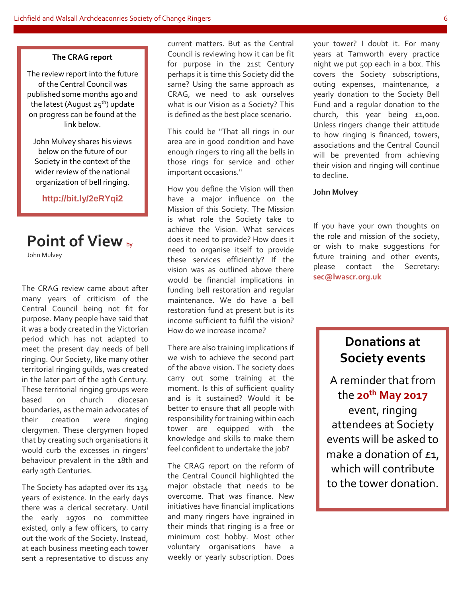#### **The CRAG report**

The review report into the future of the Central Council was published some months ago and the latest (August  $25<sup>th</sup>$ ) update on progress can be found at the link below.

John Mulvey shares his views below on the future of our Society in the context of the wider review of the national organization of bell ringing.

**http://bit.ly/2eRYqi2**

## **Point of View** by

John Mulvey

The CRAG review came about after many years of criticism of the Central Council being not fit for purpose. Many people have said that it was a body created in the Victorian period which has not adapted to meet the present day needs of bell ringing. Our Society, like many other territorial ringing guilds, was created in the later part of the 19th Century. These territorial ringing groups were based on church diocesan boundaries, as the main advocates of their creation were ringing clergymen. These clergymen hoped that by creating such organisations it would curb the excesses in ringers' behaviour prevalent in the 18th and early 19th Centuries.

The Society has adapted over its 134 years of existence. In the early days there was a clerical secretary. Until the early 1970s no committee existed, only a few officers, to carry out the work of the Society. Instead, at each business meeting each tower sent a representative to discuss any current matters. But as the Central Council is reviewing how it can be fit for purpose in the 21st Century perhaps it is time this Society did the same? Using the same approach as CRAG, we need to ask ourselves what is our Vision as a Society? This is defined as the best place scenario.

This could be "That all rings in our area are in good condition and have enough ringers to ring all the bells in those rings for service and other important occasions."

How you define the Vision will then have a major influence on the Mission of this Society. The Mission is what role the Society take to achieve the Vision. What services does it need to provide? How does it need to organise itself to provide these services efficiently? If the vision was as outlined above there would be financial implications in funding bell restoration and regular maintenance. We do have a bell restoration fund at present but is its income sufficient to fulfil the vision? How do we increase income?

There are also training implications if we wish to achieve the second part of the above vision. The society does carry out some training at the moment. Is this of sufficient quality and is it sustained? Would it be better to ensure that all people with responsibility for training within each tower are equipped with the knowledge and skills to make them feel confident to undertake the job?

The CRAG report on the reform of the Central Council highlighted the major obstacle that needs to be overcome. That was finance. New initiatives have financial implications and many ringers have ingrained in their minds that ringing is a free or minimum cost hobby. Most other voluntary organisations have a weekly or yearly subscription. Does

your tower? I doubt it. For many years at Tamworth every practice night we put 50p each in a box. This covers the Society subscriptions, outing expenses, maintenance, a yearly donation to the Society Bell Fund and a regular donation to the church, this year being  $£1,000$ . Unless ringers change their attitude to how ringing is financed, towers, associations and the Central Council will be prevented from achieving their vision and ringing will continue to decline.

#### **John Mulvey**

If you have your own thoughts on the role and mission of the society, or wish to make suggestions for future training and other events, please contact the Secretary: **sec@lwascr.org.uk** 

### **Donations at Society events**

A reminder that from the **20th May 2017** event, ringing attendees at Society events will be asked to make a donation of  $f_1$ , which will contribute to the tower donation.